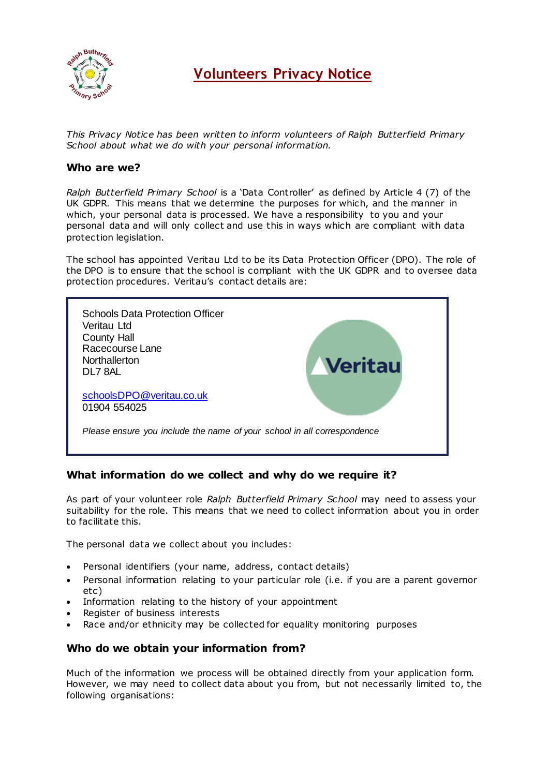

# **Volunteers Privacy Notice**

*This Privacy Notice has been written to inform volunteers of Ralph Butterfield Primary School about what we do with your personal information.* 

# **Who are we?**

*Ralph Butterfield Primary School* is a 'Data Controller' as defined by Article 4 (7) of the UK GDPR. This means that we determine the purposes for which, and the manner in which, your personal data is processed. We have a responsibility to you and your personal data and will only collect and use this in ways which are compliant with data protection legislation.

The school has appointed Veritau Ltd to be its Data Protection Officer (DPO). The role of the DPO is to ensure that the school is compliant with the UK GDPR and to oversee data protection procedures. Veritau's contact details are:



# **What information do we collect and why do we require it?**

As part of your volunteer role *Ralph Butterfield Primary School* may need to assess your suitability for the role. This means that we need to collect information about you in order to facilitate this.

The personal data we collect about you includes:

- Personal identifiers (your name, address, contact details)
- Personal information relating to your particular role (i.e. if you are a parent governor etc)
- Information relating to the history of your appointment
- Register of business interests
- Race and/or ethnicity may be collected for equality monitoring purposes

# **Who do we obtain your information from?**

Much of the information we process will be obtained directly from your application form. However, we may need to collect data about you from, but not necessarily limited to, the following organisations: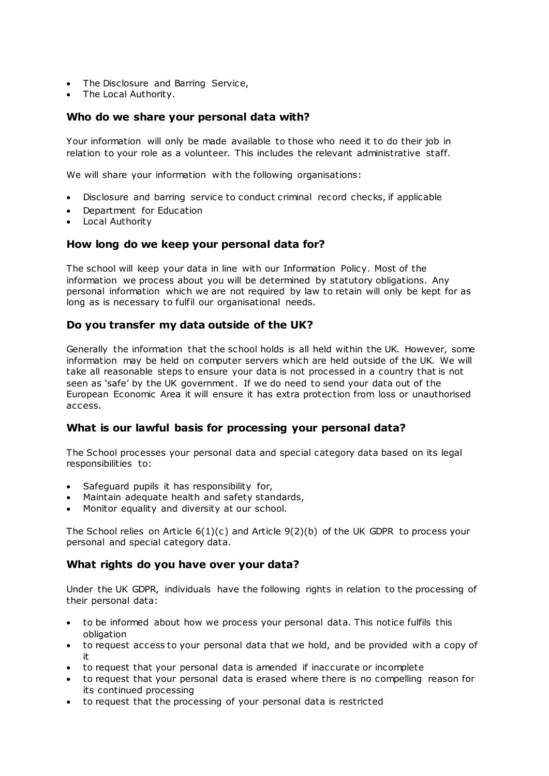- The Disclosure and Barring Service,
- The Local Authority.

# **Who do we share your personal data with?**

Your information will only be made available to those who need it to do their job in relation to your role as a volunteer. This includes the relevant administrative staff.

We will share your information with the following organisations:

- Disclosure and barring service to conduct criminal record checks, if applicable
- Department for Education
- Local Authority

# **How long do we keep your personal data for?**

The school will keep your data in line with our Information Policy. Most of the information we process about you will be determined by statutory obligations. Any personal information which we are not required by law to retain will only be kept for as long as is necessary to fulfil our organisational needs.

# **Do you transfer my data outside of the UK?**

Generally the information that the school holds is all held within the UK. However, some information may be held on computer servers which are held outside of the UK. We will take all reasonable steps to ensure your data is not processed in a country that is not seen as 'safe' by the UK government. If we do need to send your data out of the European Economic Area it will ensure it has extra protection from loss or unauthorised access.

# **What is our lawful basis for processing your personal data?**

The School processes your personal data and special category data based on its legal responsibilities to:

- Safeguard pupils it has responsibility for,
- Maintain adequate health and safety standards,
- Monitor equality and diversity at our school.

The School relies on Article 6(1)(c) and Article 9(2)(b) of the UK GDPR to process your personal and special category data.

# **What rights do you have over your data?**

Under the UK GDPR, individuals have the following rights in relation to the processing of their personal data:

- to be informed about how we process your personal data. This notice fulfils this obligation
- to request access to your personal data that we hold, and be provided with a copy of it
- to request that your personal data is amended if inaccurate or incomplete
- to request that your personal data is erased where there is no compelling reason for its continued processing
- to request that the processing of your personal data is restricted